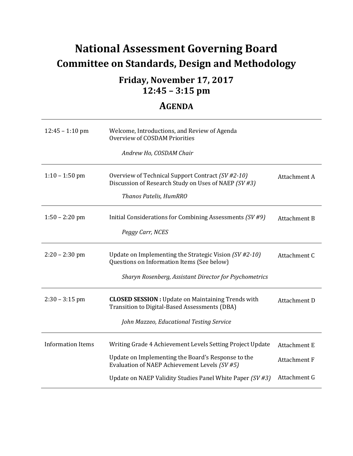# **National Assessment Governing Board Committee on Standards, Design and Methodology**

# **12:45 – 3:15 pm Friday, November 17, 2017**

# **AGENDA**

| $12:45 - 1:10$ pm        | Welcome, Introductions, and Review of Agenda<br>Overview of COSDAM Priorities<br>Andrew Ho, COSDAM Chair   |                     |
|--------------------------|------------------------------------------------------------------------------------------------------------|---------------------|
|                          |                                                                                                            |                     |
| $1:10 - 1:50$ pm         | Overview of Technical Support Contract (SV #2-10)<br>Discussion of Research Study on Uses of NAEP (SV#3)   | Attachment A        |
|                          | Thanos Patelis, HumRRO                                                                                     |                     |
| $1:50 - 2:20$ pm         | Initial Considerations for Combining Assessments (SV #9)                                                   | <b>Attachment B</b> |
|                          | Peggy Carr, NCES                                                                                           |                     |
| $2:20 - 2:30$ pm         | Update on Implementing the Strategic Vision (SV #2-10)<br>Questions on Information Items (See below)       | Attachment C        |
|                          | Sharyn Rosenberg, Assistant Director for Psychometrics                                                     |                     |
| $2:30 - 3:15$ pm         | <b>CLOSED SESSION</b> : Update on Maintaining Trends with<br>Transition to Digital-Based Assessments (DBA) | Attachment D        |
|                          | John Mazzeo, Educational Testing Service                                                                   |                     |
| <b>Information Items</b> | Writing Grade 4 Achievement Levels Setting Project Update                                                  | <b>Attachment E</b> |
|                          | Update on Implementing the Board's Response to the<br>Evaluation of NAEP Achievement Levels (SV #5)        | <b>Attachment F</b> |
|                          | Update on NAEP Validity Studies Panel White Paper (SV #3)                                                  | Attachment G        |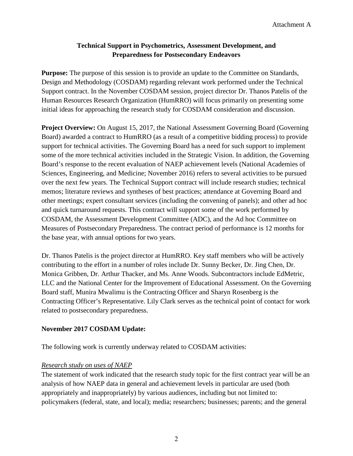# **Technical Support in Psychometrics, Assessment Development, and Preparedness for Postsecondary Endeavors**

**Purpose:** The purpose of this session is to provide an update to the Committee on Standards, Design and Methodology (COSDAM) regarding relevant work performed under the Technical Support contract. In the November COSDAM session, project director Dr. Thanos Patelis of the Human Resources Research Organization (HumRRO) will focus primarily on presenting some initial ideas for approaching the research study for COSDAM consideration and discussion.

 Board) awarded a contract to HumRRO (as a result of a competitive bidding process) to provide over the next few years. The Technical Support contract will include research studies; technical memos; literature reviews and syntheses of best practices; attendance at Governing Board and **Project Overview:** On August 15, 2017, the National Assessment Governing Board (Governing) support for technical activities. The Governing Board has a need for such support to implement some of the more technical activities included in the Strategic Vision. In addition, the Governing Board's response to the recent evaluation of NAEP achievement levels (National Academies of Sciences, Engineering, and Medicine; November 2016) refers to several activities to be pursued other meetings; expert consultant services (including the convening of panels); and other ad hoc and quick turnaround requests. This contract will support some of the work performed by COSDAM, the Assessment Development Committee (ADC), and the Ad hoc Committee on Measures of Postsecondary Preparedness. The contract period of performance is 12 months for the base year, with annual options for two years.

Dr. Thanos Patelis is the project director at HumRRO. Key staff members who will be actively contributing to the effort in a number of roles include Dr. Sunny Becker, Dr. Jing Chen, Dr. Monica Gribben, Dr. Arthur Thacker, and Ms. Anne Woods. Subcontractors include EdMetric, LLC and the National Center for the Improvement of Educational Assessment. On the Governing Board staff, Munira Mwalimu is the Contracting Officer and Sharyn Rosenberg is the Contracting Officer's Representative. Lily Clark serves as the technical point of contact for work related to postsecondary preparedness.

#### **November 2017 COSDAM Update:**

The following work is currently underway related to COSDAM activities:

#### *Research study on uses of NAEP*

 analysis of how NAEP data in general and achievement levels in particular are used (both The statement of work indicated that the research study topic for the first contract year will be an appropriately and inappropriately) by various audiences, including but not limited to: policymakers (federal, state, and local); media; researchers; businesses; parents; and the general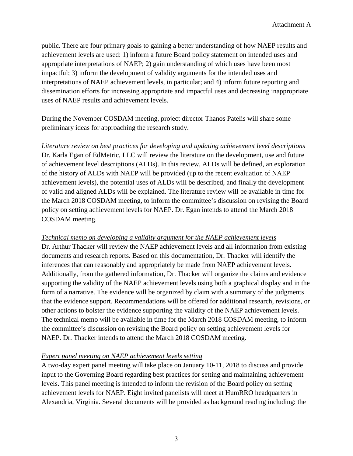public. There are four primary goals to gaining a better understanding of how NAEP results and achievement levels are used: 1) inform a future Board policy statement on intended uses and appropriate interpretations of NAEP; 2) gain understanding of which uses have been most impactful; 3) inform the development of validity arguments for the intended uses and interpretations of NAEP achievement levels, in particular; and 4) inform future reporting and dissemination efforts for increasing appropriate and impactful uses and decreasing inappropriate uses of NAEP results and achievement levels.

During the November COSDAM meeting, project director Thanos Patelis will share some preliminary ideas for approaching the research study.

 Dr. Karla Egan of EdMetric, LLC will review the literature on the development, use and future of valid and aligned ALDs will be explained. The literature review will be available in time for *Literature review on best practices for developing and updating achievement level descriptions*  of achievement level descriptions (ALDs). In this review, ALDs will be defined, an exploration of the history of ALDs with NAEP will be provided (up to the recent evaluation of NAEP achievement levels), the potential uses of ALDs will be described, and finally the development the March 2018 COSDAM meeting, to inform the committee's discussion on revising the Board policy on setting achievement levels for NAEP. Dr. Egan intends to attend the March 2018 COSDAM meeting.

#### *Technical memo on developing a validity argument for the NAEP achievement levels*

 documents and research reports. Based on this documentation, Dr. Thacker will identify the inferences that can reasonably and appropriately be made from NAEP achievement levels. supporting the validity of the NAEP achievement levels using both a graphical display and in the Dr. Arthur Thacker will review the NAEP achievement levels and all information from existing Additionally, from the gathered information, Dr. Thacker will organize the claims and evidence form of a narrative. The evidence will be organized by claim with a summary of the judgments that the evidence support. Recommendations will be offered for additional research, revisions, or other actions to bolster the evidence supporting the validity of the NAEP achievement levels. The technical memo will be available in time for the March 2018 COSDAM meeting, to inform the committee's discussion on revising the Board policy on setting achievement levels for NAEP. Dr. Thacker intends to attend the March 2018 COSDAM meeting.

### *Expert panel meeting on NAEP achievement levels setting*

A two-day expert panel meeting will take place on January 10-11, 2018 to discuss and provide input to the Governing Board regarding best practices for setting and maintaining achievement levels. This panel meeting is intended to inform the revision of the Board policy on setting achievement levels for NAEP. Eight invited panelists will meet at HumRRO headquarters in Alexandria, Virginia. Several documents will be provided as background reading including: the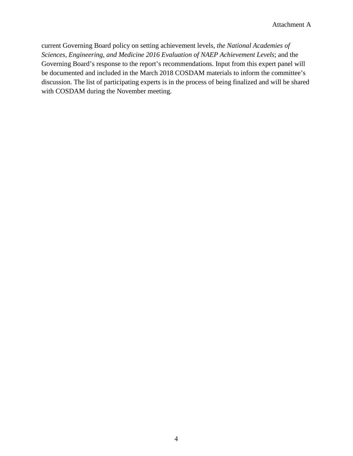current Governing Board policy on setting achievement levels, *the National Academies of Sciences, Engineering, and Medicine 2016 Evaluation of NAEP Achievement Levels*; and the Governing Board's response to the report's recommendations. Input from this expert panel will be documented and included in the March 2018 COSDAM materials to inform the committee's discussion. The list of participating experts is in the process of being finalized and will be shared with COSDAM during the November meeting.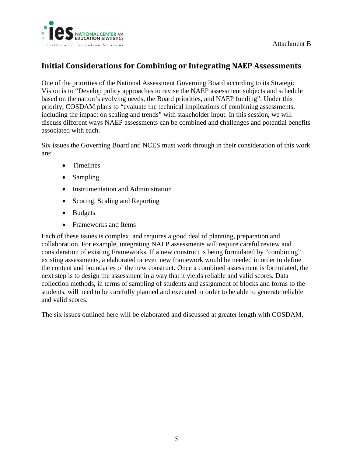

# **Initial Considerations for Combining or Integrating NAEP Assessments**

 including the impact on scaling and trends" with stakeholder input. In this session, we will discuss different ways NAEP assessments can be combined and challenges and potential benefits One of the priorities of the National Assessment Governing Board according to its Strategic Vision is to "Develop policy approaches to revise the NAEP assessment subjects and schedule based on the nation's evolving needs, the Board priorities, and NAEP funding". Under this priority, COSDAM plans to "evaluate the technical implications of combining assessments, associated with each.

Six issues the Governing Board and NCES must work through in their consideration of this work are:

- Timelines
- Sampling
- Instrumentation and Administration
- Scoring, Scaling and Reporting
- Budgets
- Frameworks and Items

 next step is to design the assessment in a way that it yields reliable and valid scores. Data Each of these issues is complex, and requires a good deal of planning, preparation and collaboration. For example, integrating NAEP assessments will require careful review and consideration of existing Frameworks. If a new construct is being formulated by "combining" existing assessments, a elaborated or even new framework would be needed in order to define the content and boundaries of the new construct. Once a combined assessment is formulated, the collection methods, in terms of sampling of students and assignment of blocks and forms to the students, will need to be carefully planned and executed in order to be able to generate reliable and valid scores.

The six issues outlined here will be elaborated and discussed at greater length with COSDAM.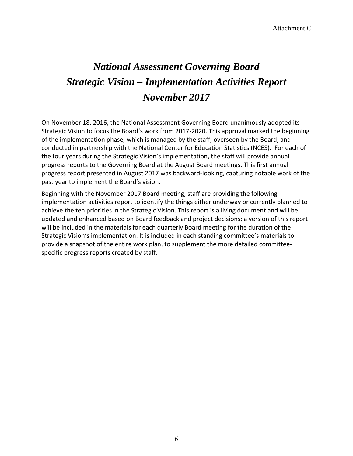# *November 2017 National Assessment Governing Board Strategic Vision – Implementation Activities Report*

 Strategic Vision to focus the Board's work from 2017-2020. This approval marked the beginning the four years during the Strategic Vision's implementation, the staff will provide annual progress reports to the Governing Board at the August Board meetings. This first annual On November 18, 2016, the National Assessment Governing Board unanimously adopted its of the implementation phase, which is managed by the staff, overseen by the Board, and conducted in partnership with the National Center for Education Statistics (NCES). For each of progress report presented in August 2017 was backward-looking, capturing notable work of the past year to implement the Board's vision.

 Beginning with the November 2017 Board meeting, staff are providing the following implementation activities report to identify the things either underway or currently planned to achieve the ten priorities in the Strategic Vision. This report is a living document and will be updated and enhanced based on Board feedback and project decisions; a version of this report will be included in the materials for each quarterly Board meeting for the duration of the Strategic Vision's implementation. It is included in each standing committee's materials to provide a snapshot of the entire work plan, to supplement the more detailed committeespecific progress reports created by staff.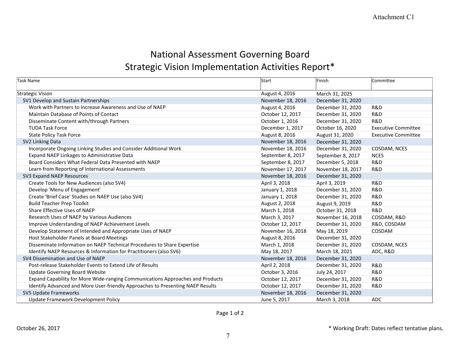# National Assessment Governing Board Strategic Vision Implementation Activities Report\*

| Task Name                                                                      | Start             | Finish            | Committee                  |
|--------------------------------------------------------------------------------|-------------------|-------------------|----------------------------|
| Strategic Vision                                                               | August 4, 2016    | March 31, 2025    |                            |
| SV1 Develop and Sustain Partnerships                                           | November 18, 2016 | December 31, 2020 |                            |
| Work with Partners to Increase Awareness and Use of NAEP                       | August 4, 2016    | December 31, 2020 | <b>R&amp;D</b>             |
| Maintain Database of Points of Contact                                         | October 12, 2017  | December 31, 2020 | <b>R&amp;D</b>             |
| Disseminate Content with/through Partners                                      | October 1, 2016   | December 31, 2020 | R&D                        |
| <b>TUDA Task Force</b>                                                         | December 1, 2017  | October 16, 2020  | <b>Executive Committee</b> |
| <b>State Policy Task Force</b>                                                 | August 8, 2016    | August 31, 2020   | <b>Executive Committee</b> |
| SV2 Linking Data                                                               | November 18, 2016 | December 31, 2020 |                            |
| Incorporate Ongoing Linking Studies and Consider Additional Work               | November 18, 2016 | December 31, 2020 | COSDAM, NCES               |
| Expand NAEP Linkages to Administrative Data                                    | September 8, 2017 | September 8, 2017 | <b>NCES</b>                |
| Board Considers What Federal Data Presented with NAEP                          | September 8, 2017 | December 5, 2018  | R&D                        |
| Learn from Reporting of International Assessments                              | November 17, 2017 | November 18, 2017 | R&D                        |
| SV3 Expand NAEP Resources                                                      | November 18, 2016 | December 31, 2020 |                            |
| Create Tools for New Audiences (also SV4)                                      | April 3, 2018     | April 3, 2019     | R&D                        |
| Develop 'Menu of Engagement'                                                   | January 1, 2018   | December 31, 2020 | R&D                        |
| Create 'Brief Case' Studies on NAEP Use (also SV4)                             | January 1, 2018   | December 31, 2020 | R&D                        |
| <b>Build Teacher Prep Toolkit</b>                                              | August 2, 2018    | August 9, 2019    | R&D                        |
| Share Effective Uses of NAEP                                                   | March 1, 2018     | October 31, 2018  | R&D                        |
| Research Uses of NAEP by Various Audiences                                     | March 3, 2017     | November 16, 2018 | COSDAM, R&D                |
| Improve Understanding of NAEP Achievement Levels                               | October 12, 2017  | December 31, 2020 | R&D, COSDAM                |
| Develop Statement of Intended and Appropriate Uses of NAEP                     | November 16, 2018 | May 18, 2019      | COSDAM                     |
| Host Stakeholder Panels at Board Meetings                                      | August 8, 2016    | December 31, 2020 |                            |
| Disseminate Information on NAEP Technical Procedures to Share Expertise        | March 1, 2018     | December 31, 2020 | COSDAM, NCES               |
| Identify NAEP Resources & Information for Practitioners (also SV6)             | May 18, 2017      | March 18, 2021    | ADC, R&D                   |
| SV4 Dissemination and Use of NAEP                                              | November 18, 2016 | December 31, 2020 |                            |
| Post-release Stakeholder Events to Extend Life of Results                      | April 2, 2018     | December 31, 2020 | <b>R&amp;D</b>             |
| <b>Update Governing Board Website</b>                                          | October 3, 2016   | July 24, 2017     | <b>R&amp;D</b>             |
| Expand Capability for More Wide-ranging Communications Approaches and Products | October 12, 2017  | December 31, 2020 | R&D                        |
| Identify Advanced and More User-friendly Approaches to Presenting NAEP Results | October 12, 2017  | December 31, 2020 | R&D                        |
| SV5 Update Frameworks                                                          | November 18, 2016 | December 31, 2020 |                            |
| Update Framework Development Policy                                            | June 5, 2017      | March 3, 2018     | <b>ADC</b>                 |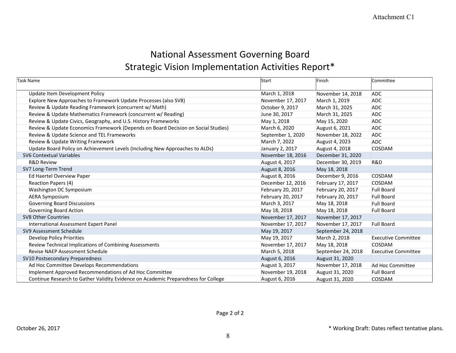# National Assessment Governing Board Strategic Vision Implementation Activities Report\*

| Task Name                                                                          | Start             | Finish             | Committee                  |
|------------------------------------------------------------------------------------|-------------------|--------------------|----------------------------|
| Update Item Development Policy                                                     | March 1, 2018     | November 14, 2018  | <b>ADC</b>                 |
| Explore New Approaches to Framework Update Processes (also SV8)                    | November 17, 2017 | March 1, 2019      | <b>ADC</b>                 |
| Review & Update Reading Framework (concurrent w/ Math)                             | October 9, 2017   | March 31, 2025     | <b>ADC</b>                 |
| Review & Update Mathematics Framework (concurrent w/ Reading)                      | June 30, 2017     | March 31, 2025     | <b>ADC</b>                 |
| Review & Update Civics, Geography, and U.S. History Frameworks                     | May 1, 2018       | May 15, 2020       | <b>ADC</b>                 |
| Review & Update Economics Framework (Depends on Board Decision on Social Studies)  | March 6, 2020     | August 6, 2021     | ADC                        |
| Review & Update Science and TEL Frameworks                                         | September 1, 2020 | November 18, 2022  | <b>ADC</b>                 |
| Review & Update Writing Framework                                                  | March 7, 2022     | August 4, 2023     | <b>ADC</b>                 |
| Update Board Policy on Achievement Levels (Including New Approaches to ALDs)       | January 2, 2017   | August 4, 2018     | COSDAM                     |
| <b>SV6 Contextual Variables</b>                                                    | November 18, 2016 | December 31, 2020  |                            |
| <b>R&amp;D Review</b>                                                              | August 4, 2017    | December 30, 2019  | R&D                        |
| SV7 Long-Term Trend                                                                | August 8, 2016    | May 18, 2018       |                            |
| Ed Haertel Overview Paper                                                          | August 8, 2016    | December 9, 2016   | COSDAM                     |
| Reaction Papers (4)                                                                | December 12, 2016 | February 17, 2017  | <b>COSDAM</b>              |
| Washington DC Symposium                                                            | February 20, 2017 | February 20, 2017  | <b>Full Board</b>          |
| <b>AERA Symposium</b>                                                              | February 20, 2017 | February 20, 2017  | <b>Full Board</b>          |
| <b>Governing Board Discussions</b>                                                 | March 3, 2017     | May 18, 2018       | <b>Full Board</b>          |
| <b>Governing Board Action</b>                                                      | May 18, 2018      | May 18, 2018       | <b>Full Board</b>          |
| <b>SV8 Other Countries</b>                                                         | November 17, 2017 | November 17, 2017  |                            |
| International Assessment Expert Panel                                              | November 17, 2017 | November 17, 2017  | <b>Full Board</b>          |
| SV9 Assessment Schedule                                                            | May 19, 2017      | September 24, 2018 |                            |
| <b>Develop Policy Priorities</b>                                                   | May 19, 2017      | March 2, 2018      | <b>Executive Committee</b> |
| Review Technical Implications of Combining Assessments                             | November 17, 2017 | May 18, 2018       | COSDAM                     |
| <b>Revise NAEP Assessment Schedule</b>                                             | March 5, 2018     | September 24, 2018 | <b>Executive Committee</b> |
| SV10 Postsecondary Preparedness                                                    | August 6, 2016    | August 31, 2020    |                            |
| Ad Hoc Committee Develops Recommendations                                          | August 3, 2017    | November 17, 2018  | Ad Hoc Committee           |
| Implement Approved Recommendations of Ad Hoc Committee                             | November 19, 2018 | August 31, 2020    | <b>Full Board</b>          |
| Continue Research to Gather Validity Evidence on Academic Preparedness for College | August 6, 2016    | August 31, 2020    | COSDAM                     |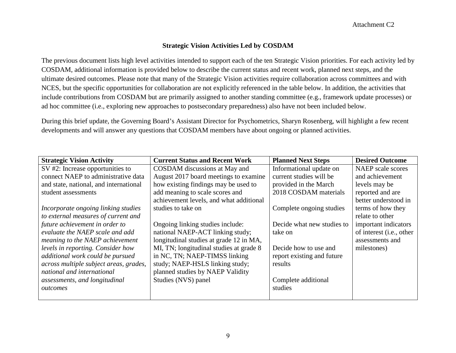#### **Strategic Vision Activities Led by COSDAM**

The previous document lists high level activities intended to support each of the ten Strategic Vision priorities. For each activity led by COSDAM, additional information is provided below to describe the current status and recent work, planned next steps, and the ultimate desired outcomes. Please note that many of the Strategic Vision activities require collaboration across committees and with NCES, but the specific opportunities for collaboration are not explicitly referenced in the table below. In addition, the activities that include contributions from COSDAM but are primarily assigned to another standing committee (e.g., framework update processes) or ad hoc committee (i.e., exploring new approaches to postsecondary preparedness) also have not been included below.

During this brief update, the Governing Board's Assistant Director for Psychometrics, Sharyn Rosenberg, will highlight a few recent developments and will answer any questions that COSDAM members have about ongoing or planned activities.

| <b>Strategic Vision Activity</b>       | <b>Current Status and Recent Work</b>   | <b>Planned Next Steps</b>  | <b>Desired Outcome</b>   |
|----------------------------------------|-----------------------------------------|----------------------------|--------------------------|
| $SV$ #2: Increase opportunities to     | COSDAM discussions at May and           | Informational update on    | NAEP scale scores        |
| connect NAEP to administrative data    | August 2017 board meetings to examine   | current studies will be    | and achievement          |
| and state, national, and international | how existing findings may be used to    | provided in the March      | levels may be            |
| student assessments                    | add meaning to scale scores and         | 2018 COSDAM materials      | reported and are         |
|                                        | achievement levels, and what additional |                            | better understood in     |
| Incorporate ongoing linking studies    | studies to take on                      | Complete ongoing studies   | terms of how they        |
| to external measures of current and    |                                         |                            | relate to other          |
| future achievement in order to         | Ongoing linking studies include:        | Decide what new studies to | important indicators     |
| evaluate the NAEP scale and add        | national NAEP-ACT linking study;        | take on                    | of interest (i.e., other |
| meaning to the NAEP achievement        | longitudinal studies at grade 12 in MA, |                            | assessments and          |
| levels in reporting. Consider how      | MI, TN; longitudinal studies at grade 8 | Decide how to use and      | milestones)              |
| additional work could be pursued       | in NC, TN; NAEP-TIMSS linking           | report existing and future |                          |
| across multiple subject areas, grades, | study; NAEP-HSLS linking study;         | results                    |                          |
| national and international             | planned studies by NAEP Validity        |                            |                          |
| assessments, and longitudinal          | Studies (NVS) panel                     | Complete additional        |                          |
| outcomes                               |                                         | studies                    |                          |
|                                        |                                         |                            |                          |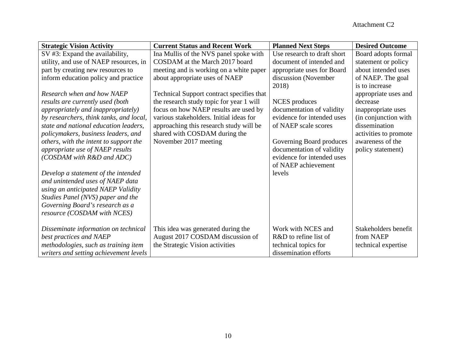| <b>Strategic Vision Activity</b>          | <b>Current Status and Recent Work</b>     | <b>Planned Next Steps</b>   | <b>Desired Outcome</b> |
|-------------------------------------------|-------------------------------------------|-----------------------------|------------------------|
| SV #3: Expand the availability,           | Ina Mullis of the NVS panel spoke with    | Use research to draft short | Board adopts formal    |
| utility, and use of NAEP resources, in    | COSDAM at the March 2017 board            | document of intended and    | statement or policy    |
| part by creating new resources to         | meeting and is working on a white paper   | appropriate uses for Board  | about intended uses    |
| inform education policy and practice      | about appropriate uses of NAEP            | discussion (November        | of NAEP. The goal      |
|                                           |                                           | 2018)                       | is to increase         |
| Research when and how NAEP                | Technical Support contract specifies that |                             | appropriate uses and   |
| results are currently used (both          | the research study topic for year 1 will  | NCES produces               | decrease               |
| <i>appropriately and inappropriately)</i> | focus on how NAEP results are used by     | documentation of validity   | inappropriate uses     |
| by researchers, think tanks, and local,   | various stakeholders. Initial ideas for   | evidence for intended uses  | (in conjunction with   |
| state and national education leaders,     | approaching this research study will be   | of NAEP scale scores        | dissemination          |
| policymakers, business leaders, and       | shared with COSDAM during the             |                             | activities to promote  |
| others, with the intent to support the    | November 2017 meeting                     | Governing Board produces    | awareness of the       |
| appropriate use of NAEP results           |                                           | documentation of validity   | policy statement)      |
| (COSDAM with R&D and ADC)                 |                                           | evidence for intended uses  |                        |
|                                           |                                           | of NAEP achievement         |                        |
| Develop a statement of the intended       |                                           | levels                      |                        |
| and unintended uses of NAEP data          |                                           |                             |                        |
| using an anticipated NAEP Validity        |                                           |                             |                        |
| Studies Panel (NVS) paper and the         |                                           |                             |                        |
| Governing Board's research as a           |                                           |                             |                        |
| resource (COSDAM with NCES)               |                                           |                             |                        |
|                                           |                                           |                             |                        |
| Disseminate information on technical      | This idea was generated during the        | Work with NCES and          | Stakeholders benefit   |
| best practices and NAEP                   | August 2017 COSDAM discussion of          | R&D to refine list of       | from NAEP              |
| methodologies, such as training item      | the Strategic Vision activities           | technical topics for        | technical expertise    |
| writers and setting achievement levels    |                                           | dissemination efforts       |                        |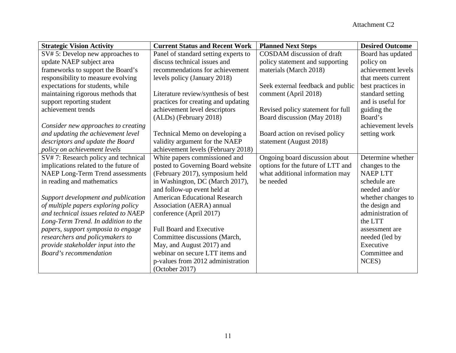| <b>Strategic Vision Activity</b>        | <b>Current Status and Recent Work</b> | <b>Planned Next Steps</b>         | <b>Desired Outcome</b> |
|-----------------------------------------|---------------------------------------|-----------------------------------|------------------------|
| SV# 5: Develop new approaches to        | Panel of standard setting experts to  | COSDAM discussion of draft        | Board has updated      |
| update NAEP subject area                | discuss technical issues and          | policy statement and supporting   | policy on              |
| frameworks to support the Board's       | recommendations for achievement       | materials (March 2018)            | achievement levels     |
| responsibility to measure evolving      | levels policy (January 2018)          |                                   | that meets current     |
| expectations for students, while        |                                       | Seek external feedback and public | best practices in      |
| maintaining rigorous methods that       | Literature review/synthesis of best   | comment (April 2018)              | standard setting       |
| support reporting student               | practices for creating and updating   |                                   | and is useful for      |
| achievement trends                      | achievement level descriptors         | Revised policy statement for full | guiding the            |
|                                         | (ALDs) (February 2018)                | Board discussion (May 2018)       | Board's                |
| Consider new approaches to creating     |                                       |                                   | achievement levels     |
| and updating the achievement level      | Technical Memo on developing a        | Board action on revised policy    | setting work           |
| descriptors and update the Board        | validity argument for the NAEP        | statement (August 2018)           |                        |
| policy on achievement levels            | achievement levels (February 2018)    |                                   |                        |
| SV#7: Research policy and technical     | White papers commissioned and         | Ongoing board discussion about    | Determine whether      |
| implications related to the future of   | posted to Governing Board website     | options for the future of LTT and | changes to the         |
| <b>NAEP Long-Term Trend assessments</b> | (February 2017), symposium held       | what additional information may   | <b>NAEPLTT</b>         |
| in reading and mathematics              | in Washington, DC (March 2017),       | be needed                         | schedule are           |
|                                         | and follow-up event held at           |                                   | needed and/or          |
| Support development and publication     | <b>American Educational Research</b>  |                                   | whether changes to     |
| of multiple papers exploring policy     | Association (AERA) annual             |                                   | the design and         |
| and technical issues related to NAEP    | conference (April 2017)               |                                   | administration of      |
| Long-Term Trend. In addition to the     |                                       |                                   | the LTT                |
| papers, support symposia to engage      | <b>Full Board and Executive</b>       |                                   | assessment are         |
| researchers and policymakers to         | Committee discussions (March,         |                                   | needed (led by         |
| provide stakeholder input into the      | May, and August 2017) and             |                                   | Executive              |
| Board's recommendation                  | webinar on secure LTT items and       |                                   | Committee and          |
|                                         | p-values from 2012 administration     |                                   | NCES)                  |
|                                         | (October 2017)                        |                                   |                        |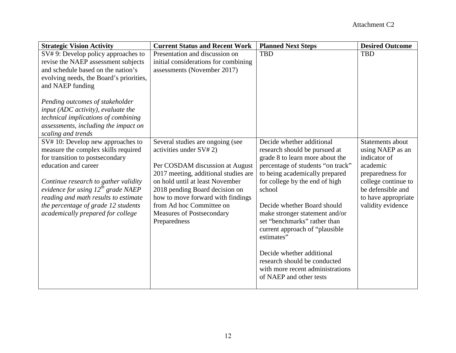| <b>Strategic Vision Activity</b>                                                | <b>Current Status and Recent Work</b> | <b>Planned Next Steps</b>         | <b>Desired Outcome</b> |
|---------------------------------------------------------------------------------|---------------------------------------|-----------------------------------|------------------------|
| SV#9: Develop policy approaches to                                              | Presentation and discussion on        | <b>TBD</b>                        | <b>TBD</b>             |
| revise the NAEP assessment subjects                                             | initial considerations for combining  |                                   |                        |
| and schedule based on the nation's                                              | assessments (November 2017)           |                                   |                        |
| evolving needs, the Board's priorities,                                         |                                       |                                   |                        |
| and NAEP funding                                                                |                                       |                                   |                        |
|                                                                                 |                                       |                                   |                        |
| Pending outcomes of stakeholder                                                 |                                       |                                   |                        |
| input (ADC activity), evaluate the                                              |                                       |                                   |                        |
| technical implications of combining                                             |                                       |                                   |                        |
| assessments, including the impact on<br>scaling and trends                      |                                       |                                   |                        |
| SV#10: Develop new approaches to                                                | Several studies are ongoing (see      | Decide whether additional         | Statements about       |
| measure the complex skills required                                             | activities under SV# 2)               | research should be pursued at     | using NAEP as an       |
| for transition to postsecondary                                                 |                                       | grade 8 to learn more about the   | indicator of           |
| education and career                                                            | Per COSDAM discussion at August       | percentage of students "on track" | academic               |
|                                                                                 | 2017 meeting, additional studies are  | to being academically prepared    | preparedness for       |
|                                                                                 | on hold until at least November       | for college by the end of high    | college continue to    |
| Continue research to gather validity<br>evidence for using $12^{th}$ grade NAEP | 2018 pending Board decision on        | school                            | be defensible and      |
| reading and math results to estimate                                            | how to move forward with findings     |                                   | to have appropriate    |
| the percentage of grade 12 students                                             | from Ad hoc Committee on              | Decide whether Board should       | validity evidence      |
| academically prepared for college                                               | Measures of Postsecondary             | make stronger statement and/or    |                        |
|                                                                                 | Preparedness                          | set "benchmarks" rather than      |                        |
|                                                                                 |                                       | current approach of "plausible    |                        |
|                                                                                 |                                       | estimates"                        |                        |
|                                                                                 |                                       |                                   |                        |
|                                                                                 |                                       | Decide whether additional         |                        |
|                                                                                 |                                       | research should be conducted      |                        |
|                                                                                 |                                       | with more recent administrations  |                        |
|                                                                                 |                                       | of NAEP and other tests           |                        |
|                                                                                 |                                       |                                   |                        |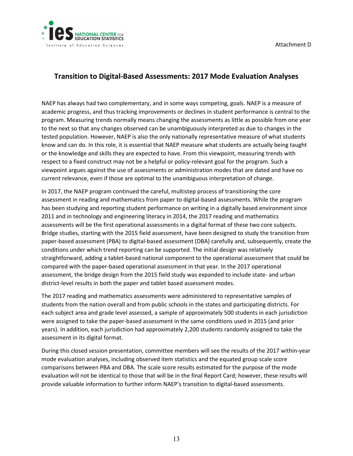

# **Transition to Digital-Based Assessments: 2017 Mode Evaluation Analyses**

 program. Measuring trends normally means changing the assessments as little as possible from one year to the next so that any changes observed can be unambiguously interpreted as due to changes in the or the knowledge and skills they are expected to have. From this viewpoint, measuring trends with viewpoint argues against the use of assessments or administration modes that are dated and have no current relevance, even if those are optimal to the unambiguous interpretation of change. NAEP has always had two complementary, and in some ways competing, goals. NAEP is a measure of academic progress, and thus tracking improvements or declines in student performance is central to the tested population. However, NAEP is also the only nationally representative measure of what students know and can do. In this role, it is essential that NAEP measure what students are actually being taught respect to a fixed construct may not be a helpful or policy-relevant goal for the program. Such a

 In 2017, the NAEP program continued the careful, multistep process of transitioning the core 2011 and in technology and engineering literacy in 2014, the 2017 reading and mathematics Bridge studies, starting with the 2015 field assessment, have been designed to study the transition from assessment, the bridge design from the 2015 field study was expanded to include state- and urban assessment in reading and mathematics from paper to digital-based assessments. While the program has been studying and reporting student performance on writing in a digitally based environment since assessments will be the first operational assessments in a digital format of these two core subjects. paper-based assessment (PBA) to digital-based assessment (DBA) carefully and, subsequently, create the conditions under which trend reporting can be supported. The initial design was relatively straightforward, adding a tablet-based national component to the operational assessment that could be compared with the paper-based operational assessment in that year. In the 2017 operational district-level results in both the paper and tablet based assessment modes.

The 2017 reading and mathematics assessments were administered to representative samples of students from the nation overall and from public schools in the states and participating districts. For each subject area and grade level assessed, a sample of approximately 500 students in each jurisdiction were assigned to take the paper-based assessment in the same conditions used in 2015 (and prior years). In addition, each jurisdiction had approximately 2,200 students randomly assigned to take the assessment in its digital format.

 During this closed session presentation, committee members will see the results of the 2017 within-year evaluation will not be identical to those that will be in the final Report Card; however, these results will mode evaluation analyses, including observed item statistics and the equated group scale score comparisons between PBA and DBA. The scale score results estimated for the purpose of the mode provide valuable information to further inform NAEP's transition to digital-based assessments.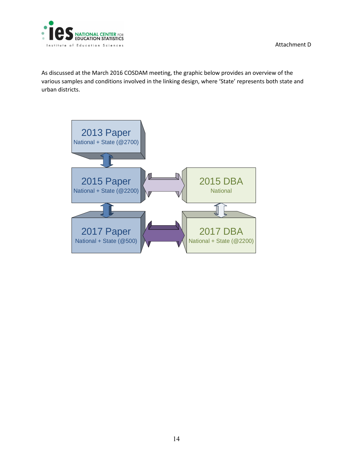

As discussed at the March 2016 COSDAM meeting, the graphic below provides an overview of the various samples and conditions involved in the linking design, where 'State' represents both state and urban districts.

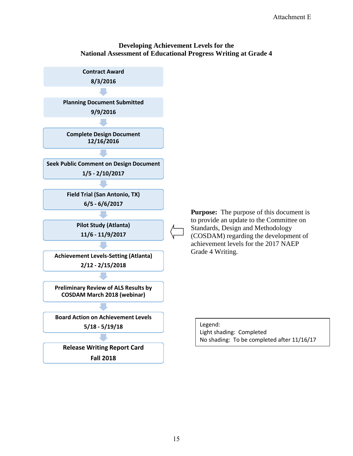#### **National Assessment of Educational Progress Writing at Grade 4 Developing Achievement Levels for the**

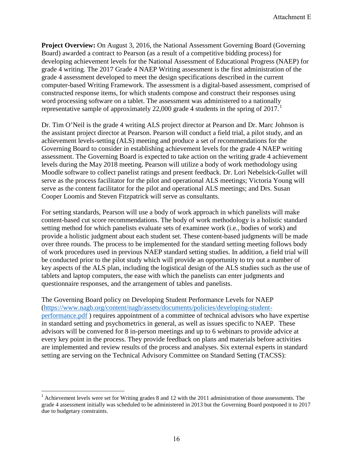Board) awarded a contract to Pearson (as a result of a competitive bidding process) for developing achievement levels for the National Assessment of Educational Progress (NAEP) for grade 4 writing. The 2017 Grade 4 NAEP Writing assessment is the first administration of the **Project Overview:** On August 3, 2016, the National Assessment Governing Board (Governing grade 4 assessment developed to meet the design specifications described in the current computer-based Writing Framework. The assessment is a digital-based assessment, comprised of constructed response items, for which students compose and construct their responses using word processing software on a tablet. The assessment was administered to a nationally representative sample of approximately 22,000 grade 4 students in the spring of  $2017<sup>1</sup>$  $2017<sup>1</sup>$  $2017<sup>1</sup>$ 

 assessment. The Governing Board is expected to take action on the writing grade 4 achievement Dr. Tim O'Neil is the grade 4 writing ALS project director at Pearson and Dr. Marc Johnson is the assistant project director at Pearson. Pearson will conduct a field trial, a pilot study, and an achievement levels-setting (ALS) meeting and produce a set of recommendations for the Governing Board to consider in establishing achievement levels for the grade 4 NAEP writing levels during the May 2018 meeting. Pearson will utilize a body of work methodology using Moodle software to collect panelist ratings and present feedback. Dr. Lori Nebelsick-Gullet will serve as the process facilitator for the pilot and operational ALS meetings; Victoria Young will serve as the content facilitator for the pilot and operational ALS meetings; and Drs. Susan Cooper Loomis and Steven Fitzpatrick will serve as consultants.

For setting standards, Pearson will use a body of work approach in which panelists will make content-based cut score recommendations. The body of work methodology is a holistic standard setting method for which panelists evaluate sets of examinee work (i.e., bodies of work) and provide a holistic judgment about each student set. These content-based judgments will be made over three rounds. The process to be implemented for the standard setting meeting follows body of work procedures used in previous NAEP standard setting studies. In addition, a field trial will be conducted prior to the pilot study which will provide an opportunity to try out a number of key aspects of the ALS plan, including the logistical design of the ALS studies such as the use of tablets and laptop computers, the ease with which the panelists can enter judgments and questionnaire responses, and the arrangement of tables and panelists.

performance.pdf) requires appointment of a committee of technical advisors who have expertise advisors will be convened for 8 in-person meetings and up to 6 webinars to provide advice at every key point in the process. They provide feedback on plans and materials before activities The Governing Board policy on Developing Student Performance Levels for NAEP [\(https://www.nagb.org/content/nagb/assets/documents/policies/developing-student](https://www.nagb.org/content/nagb/assets/documents/policies/developing-student-performance.pdf)in standard setting and psychometrics in general, as well as issues specific to NAEP. These are implemented and review results of the process and analyses. Six external experts in standard setting are serving on the Technical Advisory Committee on Standard Setting (TACSS):

<span id="page-15-0"></span> $<sup>1</sup>$  Achievement levels were set for Writing grades 8 and 12 with the 2011 administration of those assessments. The</sup> grade 4 assessment initially was scheduled to be administered in 2013 but the Governing Board postponed it to 2017 due to budgetary constraints.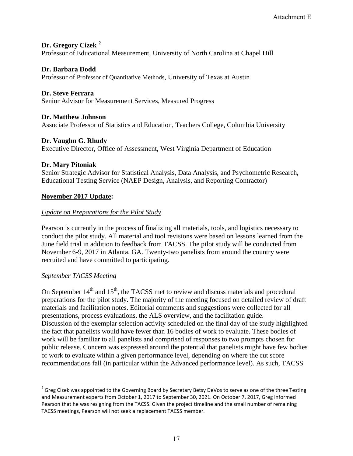### **Dr. Gregory Cizek** [2](#page-16-0)

Professor of Educational Measurement, University of North Carolina at Chapel Hill

### **Dr. Barbara Dodd**

Professor of Professor of Quantitative Methods, University of Texas at Austin

### **Dr. Steve Ferrara**

Senior Advisor for Measurement Services, Measured Progress

#### **Dr. Matthew Johnson**

Associate Professor of Statistics and Education, Teachers College, Columbia University

#### **Dr. Vaughn G. Rhudy**

Executive Director, Office of Assessment, West Virginia Department of Education

#### **Dr. Mary Pitoniak**

Senior Strategic Advisor for Statistical Analysis, Data Analysis, and Psychometric Research, Educational Testing Service (NAEP Design, Analysis, and Reporting Contractor)

#### **November 2017 Update:**

#### *Update on Preparations for the Pilot Study*

Pearson is currently in the process of finalizing all materials, tools, and logistics necessary to conduct the pilot study. All material and tool revisions were based on lessons learned from the June field trial in addition to feedback from TACSS. The pilot study will be conducted from November 6-9, 2017 in Atlanta, GA. Twenty-two panelists from around the country were recruited and have committed to participating.

#### *September TACSS Meeting*

On September  $14<sup>th</sup>$  and  $15<sup>th</sup>$ , the TACSS met to review and discuss materials and procedural preparations for the pilot study. The majority of the meeting focused on detailed review of draft materials and facilitation notes. Editorial comments and suggestions were collected for all presentations, process evaluations, the ALS overview, and the facilitation guide. Discussion of the exemplar selection activity scheduled on the final day of the study highlighted the fact that panelists would have fewer than 16 bodies of work to evaluate. These bodies of work will be familiar to all panelists and comprised of responses to two prompts chosen for public release. Concern was expressed around the potential that panelists might have few bodies of work to evaluate within a given performance level, depending on where the cut score recommendations fall (in particular within the Advanced performance level). As such, TACSS

<span id="page-16-0"></span><sup>&</sup>lt;sup>2</sup> Greg Cizek was appointed to the Governing Board by Secretary Betsy DeVos to serve as one of the three Testing and Measurement experts from October 1, 2017 to September 30, 2021. On October 7, 2017, Greg informed Pearson that he was resigning from the TACSS. Given the project timeline and the small number of remaining TACSS meetings, Pearson will not seek a replacement TACSS member.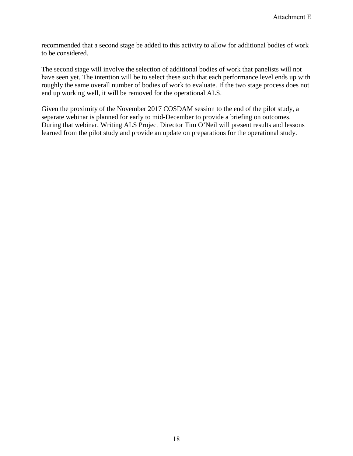recommended that a second stage be added to this activity to allow for additional bodies of work to be considered.

The second stage will involve the selection of additional bodies of work that panelists will not have seen yet. The intention will be to select these such that each performance level ends up with roughly the same overall number of bodies of work to evaluate. If the two stage process does not end up working well, it will be removed for the operational ALS.

Given the proximity of the November 2017 COSDAM session to the end of the pilot study, a separate webinar is planned for early to mid-December to provide a briefing on outcomes. During that webinar, Writing ALS Project Director Tim O'Neil will present results and lessons learned from the pilot study and provide an update on preparations for the operational study.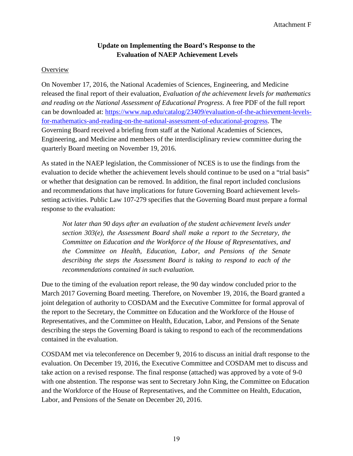# **Update on Implementing the Board's Response to the Evaluation of NAEP Achievement Levels**

### **Overview**

 *and reading on the National Assessment of Educational Progress*. A free PDF of the full report On November 17, 2016, the National Academies of Sciences, Engineering, and Medicine released the final report of their evaluation, *Evaluation of the achievement levels for mathematics*  can be downloaded at: [https://www.nap.edu/catalog/23409/evaluation-of-the-achievement-levels](https://www.nap.edu/catalog/23409/evaluation-of-the-achievement-levels-for-mathematics-and-reading-on-the-national-assessment-of-educational-progress)[for-mathematics-and-reading-on-the-national-assessment-of-educational-progress.](https://www.nap.edu/catalog/23409/evaluation-of-the-achievement-levels-for-mathematics-and-reading-on-the-national-assessment-of-educational-progress) The Governing Board received a briefing from staff at the National Academies of Sciences, Engineering, and Medicine and members of the interdisciplinary review committee during the quarterly Board meeting on November 19, 2016.

 setting activities. Public Law 107-279 specifies that the Governing Board must prepare a formal As stated in the NAEP legislation, the Commissioner of NCES is to use the findings from the evaluation to decide whether the achievement levels should continue to be used on a "trial basis" or whether that designation can be removed. In addition, the final report included conclusions and recommendations that have implications for future Governing Board achievement levelsresponse to the evaluation:

*Not later than 90 days after an evaluation of the student achievement levels under section 303(e), the Assessment Board shall make a report to the Secretary, the Committee on Education and the Workforce of the House of Representatives, and the Committee on Health, Education, Labor, and Pensions of the Senate describing the steps the Assessment Board is taking to respond to each of the recommendations contained in such evaluation.* 

Due to the timing of the evaluation report release, the 90 day window concluded prior to the March 2017 Governing Board meeting. Therefore, on November 19, 2016, the Board granted a joint delegation of authority to COSDAM and the Executive Committee for formal approval of the report to the Secretary, the Committee on Education and the Workforce of the House of Representatives, and the Committee on Health, Education, Labor, and Pensions of the Senate describing the steps the Governing Board is taking to respond to each of the recommendations contained in the evaluation.

COSDAM met via teleconference on December 9, 2016 to discuss an initial draft response to the evaluation. On December 19, 2016, the Executive Committee and COSDAM met to discuss and take action on a revised response. The final response (attached) was approved by a vote of 9-0 with one abstention. The response was sent to Secretary John King, the Committee on Education and the Workforce of the House of Representatives, and the Committee on Health, Education, Labor, and Pensions of the Senate on December 20, 2016.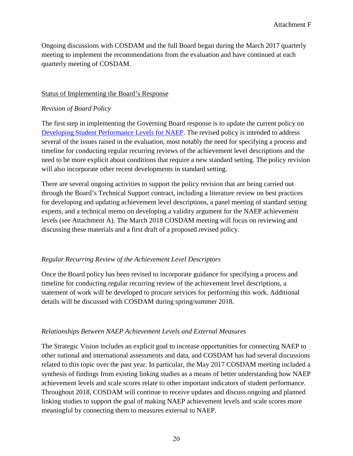Ongoing discussions with COSDAM and the full Board began during the March 2017 quarterly meeting to implement the recommendations from the evaluation and have continued at each quarterly meeting of COSDAM.

#### Status of Implementing the Board's Response

#### *Revision of Board Policy*

[Developing Student Performance Levels for NAEP.](https://www.nagb.org/content/nagb/assets/documents/policies/developing-student-performance.pdf) The revised policy is intended to address several of the issues raised in the evaluation, most notably the need for specifying a process and timeline for conducting regular recurring reviews of the achievement level descriptions and the need to be more explicit about conditions that require a new standard setting. The policy revision The first step in implementing the Governing Board response is to update the current policy on will also incorporate other recent developments in standard setting.

 There are several ongoing activities to support the policy revision that are being carried out experts, and a technical memo on developing a validity argument for the NAEP achievement through the Board's Technical Support contract, including a literature review on best practices for developing and updating achievement level descriptions, a panel meeting of standard setting levels (see Attachment A). The March 2018 COSDAM meeting will focus on reviewing and discussing these materials and a first draft of a proposed revised policy.

#### *Regular Recurring Review of the Achievement Level Descriptors*

Once the Board policy has been revised to incorporate guidance for specifying a process and timeline for conducting regular recurring review of the achievement level descriptions, a statement of work will be developed to procure services for performing this work. Additional details will be discussed with COSDAM during spring/summer 2018.

#### *Relationships Between NAEP Achievement Levels and External Measures*

The Strategic Vision includes an explicit goal to increase opportunities for connecting NAEP to other national and international assessments and data, and COSDAM has had several discussions related to this topic over the past year. In particular, the May 2017 COSDAM meeting included a synthesis of findings from existing linking studies as a means of better understanding how NAEP achievement levels and scale scores relate to other important indicators of student performance. Throughout 2018, COSDAM will continue to receive updates and discuss ongoing and planned linking studies to support the goal of making NAEP achievement levels and scale scores more meaningful by connecting them to measures external to NAEP.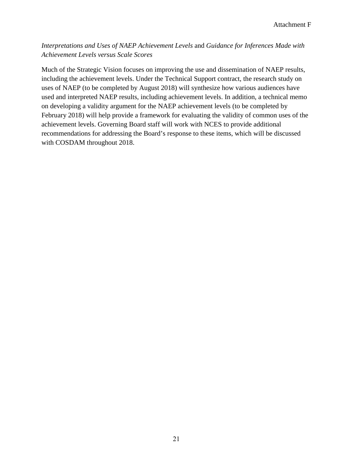# *Interpretations and Uses of NAEP Achievement Levels* and *Guidance for Inferences Made with Achievement Levels versus Scale Scores*

 on developing a validity argument for the NAEP achievement levels (to be completed by Much of the Strategic Vision focuses on improving the use and dissemination of NAEP results, including the achievement levels. Under the Technical Support contract, the research study on uses of NAEP (to be completed by August 2018) will synthesize how various audiences have used and interpreted NAEP results, including achievement levels. In addition, a technical memo February 2018) will help provide a framework for evaluating the validity of common uses of the achievement levels. Governing Board staff will work with NCES to provide additional recommendations for addressing the Board's response to these items, which will be discussed with COSDAM throughout 2018.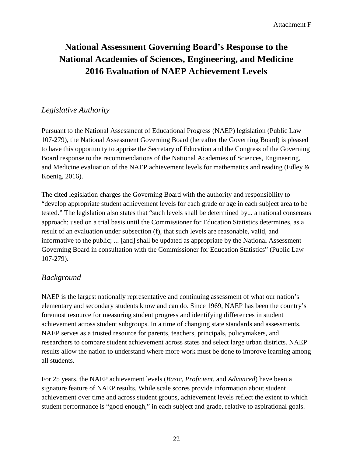# **National Assessment Governing Board's Response to the National Academies of Sciences, Engineering, and Medicine 2016 Evaluation of NAEP Achievement Levels**

# *Legislative Authority*

 Pursuant to the National Assessment of Educational Progress (NAEP) legislation (Public Law and Medicine evaluation of the NAEP achievement levels for mathematics and reading (Edley & 107-279), the National Assessment Governing Board (hereafter the Governing Board) is pleased to have this opportunity to apprise the Secretary of Education and the Congress of the Governing Board response to the recommendations of the National Academies of Sciences, Engineering, Koenig, 2016).

 The cited legislation charges the Governing Board with the authority and responsibility to Governing Board in consultation with the Commissioner for Education Statistics" (Public Law "develop appropriate student achievement levels for each grade or age in each subject area to be tested." The legislation also states that "such levels shall be determined by... a national consensus approach; used on a trial basis until the Commissioner for Education Statistics determines, as a result of an evaluation under subsection (f), that such levels are reasonable, valid, and informative to the public; ... [and] shall be updated as appropriate by the National Assessment 107-279).

# *Background*

 elementary and secondary students know and can do. Since 1969, NAEP has been the country's results allow the nation to understand where more work must be done to improve learning among NAEP is the largest nationally representative and continuing assessment of what our nation's foremost resource for measuring student progress and identifying differences in student achievement across student subgroups. In a time of changing state standards and assessments, NAEP serves as a trusted resource for parents, teachers, principals, policymakers, and researchers to compare student achievement across states and select large urban districts. NAEP all students.

For 25 years, the NAEP achievement levels (*Basic, Proficient,* and *Advanced*) have been a signature feature of NAEP results. While scale scores provide information about student achievement over time and across student groups, achievement levels reflect the extent to which student performance is "good enough," in each subject and grade, relative to aspirational goals.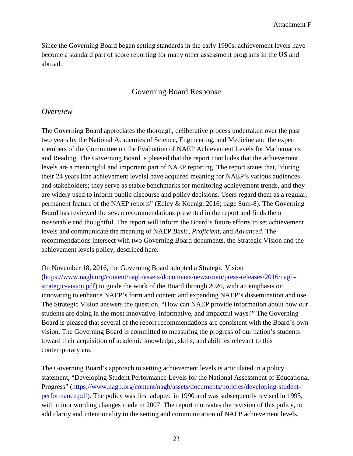become a standard part of score reporting for many other assessment programs in the US and Since the Governing Board began setting standards in the early 1990s, achievement levels have abroad.

# Governing Board Response

### *Overview*

 permanent feature of the NAEP reports" (Edley & Koenig, 2016; page Sum-8). The Governing The Governing Board appreciates the thorough, deliberative process undertaken over the past two years by the National Academies of Science, Engineering, and Medicine and the expert members of the Committee on the Evaluation of NAEP Achievement Levels for Mathematics and Reading. The Governing Board is pleased that the report concludes that the achievement levels are a meaningful and important part of NAEP reporting. The report states that, "during their 24 years [the achievement levels] have acquired meaning for NAEP's various audiences and stakeholders; they serve as stable benchmarks for monitoring achievement trends, and they are widely used to inform public discourse and policy decisions. Users regard them as a regular, Board has reviewed the seven recommendations presented in the report and finds them reasonable and thoughtful. The report will inform the Board's future efforts to set achievement levels and communicate the meaning of NAEP *Basic*, *Proficient*, and *Advanced*. The recommendations intersect with two Governing Board documents, the Strategic Vision and the achievement levels policy, described here.

contemporary era. On November 18, 2016, the Governing Board adopted a Strategic Vision [\(https://www.nagb.org/content/nagb/assets/documents/newsroom/press-releases/2016/nagb](https://www.nagb.org/content/nagb/assets/documents/newsroom/press-releases/2016/nagb-strategic-vision.pdf)[strategic-vision.pdf\)](https://www.nagb.org/content/nagb/assets/documents/newsroom/press-releases/2016/nagb-strategic-vision.pdf) to guide the work of the Board through 2020, with an emphasis on innovating to enhance NAEP's form and content and expanding NAEP's dissemination and use. The Strategic Vision answers the question, "How can NAEP provide information about how our students are doing in the most innovative, informative, and impactful ways?" The Governing Board is pleased that several of the report recommendations are consistent with the Board's own vision. The Governing Board is committed to measuring the progress of our nation's students toward their acquisition of academic knowledge, skills, and abilities relevant to this

The Governing Board's approach to setting achievement levels is articulated in a policy statement, "Developing Student Performance Levels for the National Assessment of Educational Progress" [\(https://www.nagb.org/content/nagb/assets/documents/policies/developing-student](https://www.nagb.org/content/nagb/assets/documents/policies/developing-student-performance.pdf)[performance.pdf\)](https://www.nagb.org/content/nagb/assets/documents/policies/developing-student-performance.pdf). The policy was first adopted in 1990 and was subsequently revised in 1995, with minor wording changes made in 2007. The report motivates the revision of this policy, to add clarity and intentionality to the setting and communication of NAEP achievement levels.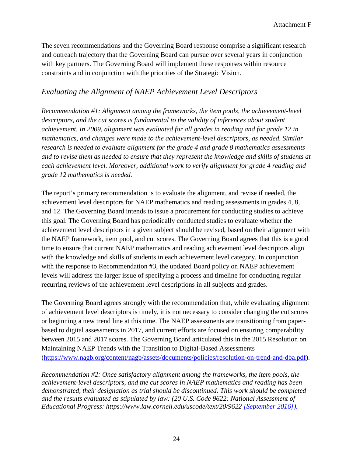The seven recommendations and the Governing Board response comprise a significant research and outreach trajectory that the Governing Board can pursue over several years in conjunction with key partners. The Governing Board will implement these responses within resource constraints and in conjunction with the priorities of the Strategic Vision.

# *Evaluating the Alignment of NAEP Achievement Level Descriptors*

 *grade 12 mathematics is needed. Recommendation #1: Alignment among the frameworks, the item pools, the achievement-level descriptors, and the cut scores is fundamental to the validity of inferences about student achievement. In 2009, alignment was evaluated for all grades in reading and for grade 12 in mathematics, and changes were made to the achievement-level descriptors, as needed. Similar research is needed to evaluate alignment for the grade 4 and grade 8 mathematics assessments and to revise them as needed to ensure that they represent the knowledge and skills of students at each achievement level. Moreover, additional work to verify alignment for grade 4 reading and* 

 with the knowledge and skills of students in each achievement level category. In conjunction levels will address the larger issue of specifying a process and timeline for conducting regular The report's primary recommendation is to evaluate the alignment, and revise if needed, the achievement level descriptors for NAEP mathematics and reading assessments in grades 4, 8, and 12. The Governing Board intends to issue a procurement for conducting studies to achieve this goal. The Governing Board has periodically conducted studies to evaluate whether the achievement level descriptors in a given subject should be revised, based on their alignment with the NAEP framework, item pool, and cut scores. The Governing Board agrees that this is a good time to ensure that current NAEP mathematics and reading achievement level descriptors align with the response to Recommendation #3, the updated Board policy on NAEP achievement recurring reviews of the achievement level descriptions in all subjects and grades.

 between 2015 and 2017 scores. The Governing Board articulated this in the 2015 Resolution on [\(https://www.nagb.org/content/nagb/assets/documents/policies/resolution-on-trend-and-dba.pdf\)](https://www.nagb.org/content/nagb/assets/documents/policies/resolution-on-trend-and-dba.pdf). The Governing Board agrees strongly with the recommendation that, while evaluating alignment of achievement level descriptors is timely, it is not necessary to consider changing the cut scores or beginning a new trend line at this time. The NAEP assessments are transitioning from paperbased to digital assessments in 2017, and current efforts are focused on ensuring comparability Maintaining NAEP Trends with the Transition to Digital-Based Assessments

*Recommendation #2: Once satisfactory alignment among the frameworks, the item pools, the achievement-level descriptors, and the cut scores in NAEP mathematics and reading has been demonstrated, their designation as trial should be discontinued. This work should be completed and the results evaluated as stipulated by law: (20 U.S. Code 9622: National Assessment of Educational Progress: https://www.law.cornell.edu/uscode/text/20/9622 [September 2016]).*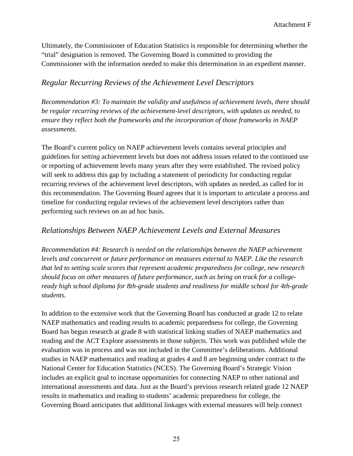Ultimately, the Commissioner of Education Statistics is responsible for determining whether the "trial" designation is removed. The Governing Board is committed to providing the Commissioner with the information needed to make this determination in an expedient manner.

# *Regular Recurring Reviews of the Achievement Level Descriptors*

*Recommendation #3: To maintain the validity and usefulness of achievement levels, there should be regular recurring reviews of the achievement-level descriptors, with updates as needed, to ensure they reflect both the frameworks and the incorporation of those frameworks in NAEP assessments.* 

The Board's current policy on NAEP achievement levels contains several principles and guidelines for *setting* achievement levels but does not address issues related to the continued use or reporting of achievement levels many years after they were established. The revised policy will seek to address this gap by including a statement of periodicity for conducting regular recurring reviews of the achievement level descriptors, with updates as needed, as called for in this recommendation. The Governing Board agrees that it is important to articulate a process and timeline for conducting regular reviews of the achievement level descriptors rather than performing such reviews on an ad hoc basis.

# *Relationships Between NAEP Achievement Levels and External Measures*

*Recommendation #4: Research is needed on the relationships between the NAEP achievement levels and concurrent or future performance on measures external to NAEP. Like the research that led to setting scale scores that represent academic preparedness for college, new research should focus on other measures of future performance, such as being on track for a collegeready high school diploma for 8th-grade students and readiness for middle school for 4th-grade students.* 

 National Center for Education Statistics (NCES). The Governing Board's Strategic Vision In addition to the extensive work that the Governing Board has conducted at grade 12 to relate NAEP mathematics and reading results to academic preparedness for college, the Governing Board has begun research at grade 8 with statistical linking studies of NAEP mathematics and reading and the ACT Explore assessments in those subjects. This work was published while the evaluation was in process and was not included in the Committee's deliberations. Additional studies in NAEP mathematics and reading at grades 4 and 8 are beginning under contract to the includes an explicit goal to increase opportunities for connecting NAEP to other national and international assessments and data. Just as the Board's previous research related grade 12 NAEP results in mathematics and reading to students' academic preparedness for college, the Governing Board anticipates that additional linkages with external measures will help connect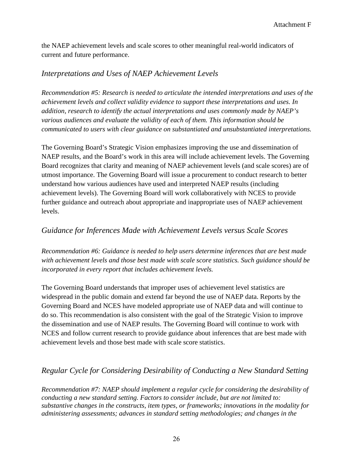the NAEP achievement levels and scale scores to other meaningful real-world indicators of current and future performance.

# *Interpretations and Uses of NAEP Achievement Levels*

*Recommendation #5: Research is needed to articulate the intended interpretations and uses of the achievement levels and collect validity evidence to support these interpretations and uses. In addition, research to identify the actual interpretations and uses commonly made by NAEP's various audiences and evaluate the validity of each of them. This information should be communicated to users with clear guidance on substantiated and unsubstantiated interpretations.* 

 The Governing Board's Strategic Vision emphasizes improving the use and dissemination of NAEP results, and the Board's work in this area will include achievement levels. The Governing Board recognizes that clarity and meaning of NAEP achievement levels (and scale scores) are of utmost importance. The Governing Board will issue a procurement to conduct research to better understand how various audiences have used and interpreted NAEP results (including achievement levels). The Governing Board will work collaboratively with NCES to provide further guidance and outreach about appropriate and inappropriate uses of NAEP achievement levels.

# *Guidance for Inferences Made with Achievement Levels versus Scale Scores*

*Recommendation #6: Guidance is needed to help users determine inferences that are best made with achievement levels and those best made with scale score statistics. Such guidance should be incorporated in every report that includes achievement levels.* 

 Governing Board and NCES have modeled appropriate use of NAEP data and will continue to NCES and follow current research to provide guidance about inferences that are best made with The Governing Board understands that improper uses of achievement level statistics are widespread in the public domain and extend far beyond the use of NAEP data. Reports by the do so. This recommendation is also consistent with the goal of the Strategic Vision to improve the dissemination and use of NAEP results. The Governing Board will continue to work with achievement levels and those best made with scale score statistics.

# *Regular Cycle for Considering Desirability of Conducting a New Standard Setting*

*Recommendation #7: NAEP should implement a regular cycle for considering the desirability of conducting a new standard setting. Factors to consider include, but are not limited to: substantive changes in the constructs, item types, or frameworks; innovations in the modality for administering assessments; advances in standard setting methodologies; and changes in the*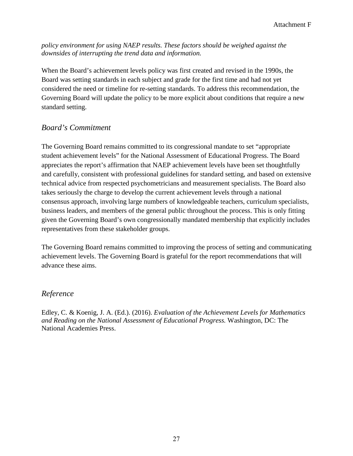*policy environment for using NAEP results. These factors should be weighed against the downsides of interrupting the trend data and information.* 

 Board was setting standards in each subject and grade for the first time and had not yet When the Board's achievement levels policy was first created and revised in the 1990s, the considered the need or timeline for re-setting standards. To address this recommendation, the Governing Board will update the policy to be more explicit about conditions that require a new standard setting.

# *Board's Commitment*

 technical advice from respected psychometricians and measurement specialists. The Board also business leaders, and members of the general public throughout the process. This is only fitting given the Governing Board's own congressionally mandated membership that explicitly includes representatives from these stakeholder groups. The Governing Board remains committed to its congressional mandate to set "appropriate student achievement levels" for the National Assessment of Educational Progress. The Board appreciates the report's affirmation that NAEP achievement levels have been set thoughtfully and carefully, consistent with professional guidelines for standard setting, and based on extensive takes seriously the charge to develop the current achievement levels through a national consensus approach, involving large numbers of knowledgeable teachers, curriculum specialists,

The Governing Board remains committed to improving the process of setting and communicating achievement levels. The Governing Board is grateful for the report recommendations that will advance these aims.

# *Reference*

Edley, C. & Koenig, J. A. (Ed.). (2016). *Evaluation of the Achievement Levels for Mathematics and Reading on the National Assessment of Educational Progress.* Washington, DC: The National Academies Press.